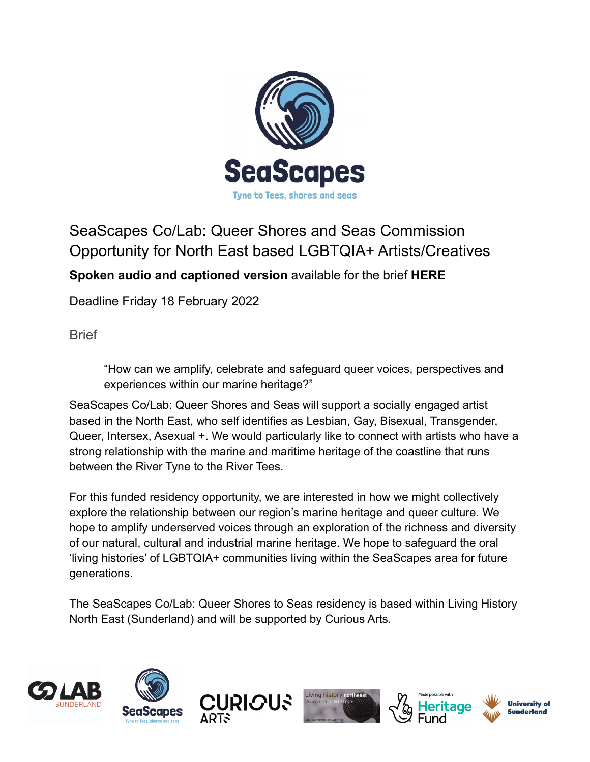

# SeaScapes Co/Lab: Queer Shores and Seas Commission Opportunity for North East based LGBTQIA+ Artists/Creatives

**Spoken audio and captioned version** available for the brief **[HERE](https://www.youtube.com/watch?v=DJJtHpsa1ks)**

Deadline Friday 18 February 2022

**Brief** 

"How can we amplify, celebrate and safeguard queer voices, perspectives and experiences within our marine heritage?"

SeaScapes Co/Lab: Queer Shores and Seas will support a socially engaged artist based in the North East, who self identifies as Lesbian, Gay, Bisexual, Transgender, Queer, Intersex, Asexual +. We would particularly like to connect with artists who have a strong relationship with the marine and maritime heritage of the coastline that runs between the River Tyne to the River Tees.

For this funded residency opportunity, we are interested in how we might collectively explore the relationship between our region's marine heritage and queer culture. We hope to amplify underserved voices through an exploration of the richness and diversity of our natural, cultural and industrial marine heritage. We hope to safeguard the oral 'living histories' of LGBTQIA+ communities living within the SeaScapes area for future generations.

The SeaScapes Co/Lab: Queer Shores to Seas residency is based within Living History North East (Sunderland) and will be supported by Curious Arts.











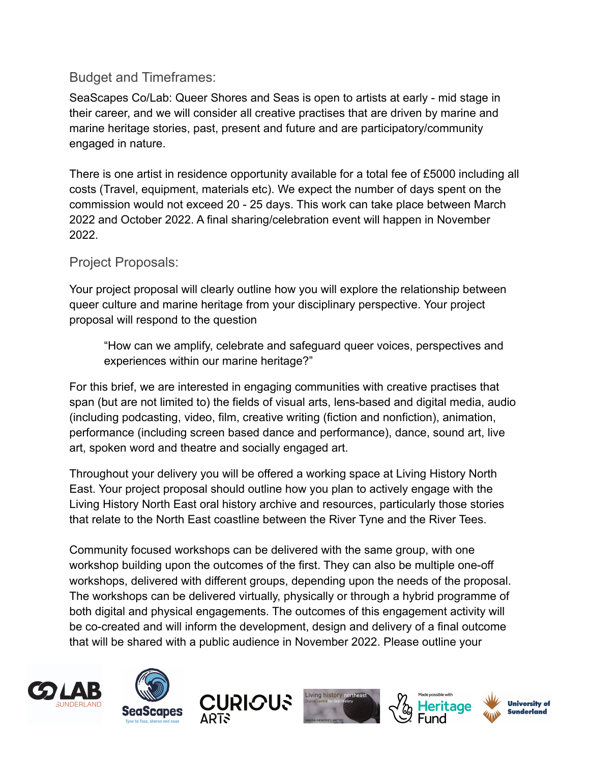# Budget and Timeframes:

SeaScapes Co/Lab: Queer Shores and Seas is open to artists at early - mid stage in their career, and we will consider all creative practises that are driven by marine and marine heritage stories, past, present and future and are participatory/community engaged in nature.

There is one artist in residence opportunity available for a total fee of £5000 including all costs (Travel, equipment, materials etc). We expect the number of days spent on the commission would not exceed 20 - 25 days. This work can take place between March 2022 and October 2022. A final sharing/celebration event will happen in November 2022.

## Project Proposals:

Your project proposal will clearly outline how you will explore the relationship between queer culture and marine heritage from your disciplinary perspective. Your project proposal will respond to the question

"How can we amplify, celebrate and safeguard queer voices, perspectives and experiences within our marine heritage?"

For this brief, we are interested in engaging communities with creative practises that span (but are not limited to) the fields of visual arts, lens-based and digital media, audio (including podcasting, video, film, creative writing (fiction and nonfiction), animation, performance (including screen based dance and performance), dance, sound art, live art, spoken word and theatre and socially engaged art.

Throughout your delivery you will be offered a working space at Living History North East. Your project proposal should outline how you plan to actively engage with the Living History North East oral history archive and resources, particularly those stories that relate to the North East coastline between the River Tyne and the River Tees.

Community focused workshops can be delivered with the same group, with one workshop building upon the outcomes of the first. They can also be multiple one-off workshops, delivered with different groups, depending upon the needs of the proposal. The workshops can be delivered virtually, physically or through a hybrid programme of both digital and physical engagements. The outcomes of this engagement activity will be co-created and will inform the development, design and delivery of a final outcome that will be shared with a public audience in November 2022. Please outline your











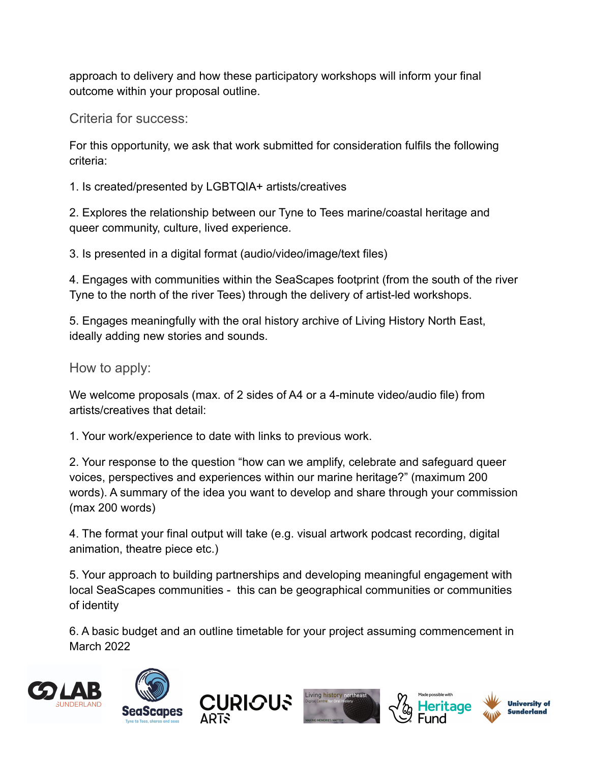approach to delivery and how these participatory workshops will inform your final outcome within your proposal outline.

Criteria for success:

For this opportunity, we ask that work submitted for consideration fulfils the following criteria:

1. Is created/presented by LGBTQIA+ artists/creatives

2. Explores the relationship between our Tyne to Tees marine/coastal heritage and queer community, culture, lived experience.

3. Is presented in a digital format (audio/video/image/text files)

4. Engages with communities within the SeaScapes footprint (from the south of the river Tyne to the north of the river Tees) through the delivery of artist-led workshops.

5. Engages meaningfully with the oral history archive of Living History North East, ideally adding new stories and sounds.

How to apply:

We welcome proposals (max. of 2 sides of A4 or a 4-minute video/audio file) from artists/creatives that detail:

1. Your work/experience to date with links to previous work.

2. Your response to the question "how can we amplify, celebrate and safeguard queer voices, perspectives and experiences within our marine heritage?" (maximum 200 words). A summary of the idea you want to develop and share through your commission (max 200 words)

4. The format your final output will take (e.g. visual artwork podcast recording, digital animation, theatre piece etc.)

5. Your approach to building partnerships and developing meaningful engagement with local SeaScapes communities - this can be geographical communities or communities of identity

6. A basic budget and an outline timetable for your project assuming commencement in March 2022











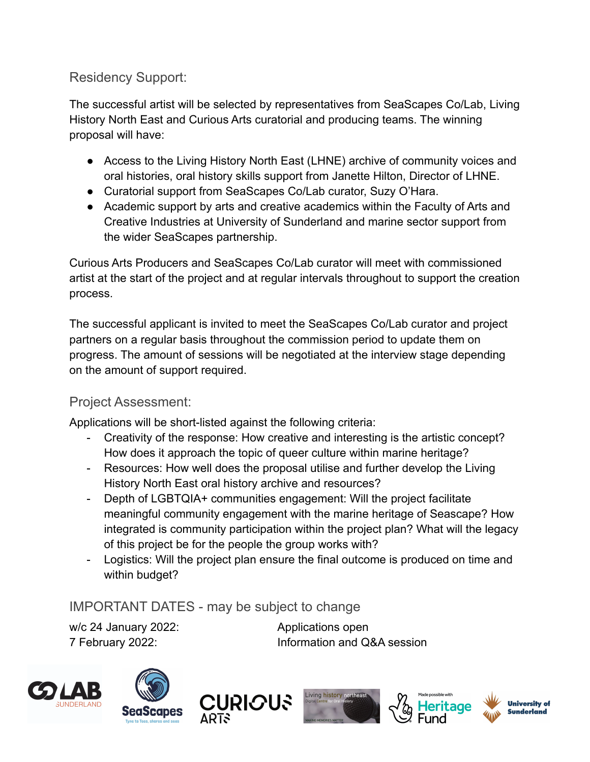# Residency Support:

The successful artist will be selected by representatives from SeaScapes Co/Lab, Living History North East and Curious Arts curatorial and producing teams. The winning proposal will have:

- Access to the Living History North East (LHNE) archive of community voices and oral histories, oral history skills support from Janette Hilton, Director of LHNE.
- Curatorial support from SeaScapes Co/Lab curator, Suzy O'Hara.
- Academic support by arts and creative academics within the Faculty of Arts and Creative Industries at University of Sunderland and marine sector support from the wider SeaScapes partnership.

Curious Arts Producers and SeaScapes Co/Lab curator will meet with commissioned artist at the start of the project and at regular intervals throughout to support the creation process.

The successful applicant is invited to meet the SeaScapes Co/Lab curator and project partners on a regular basis throughout the commission period to update them on progress. The amount of sessions will be negotiated at the interview stage depending on the amount of support required.

# Project Assessment:

Applications will be short-listed against the following criteria:

- Creativity of the response: How creative and interesting is the artistic concept? How does it approach the topic of queer culture within marine heritage?
- Resources: How well does the proposal utilise and further develop the Living History North East oral history archive and resources?
- Depth of LGBTQIA+ communities engagement: Will the project facilitate meaningful community engagement with the marine heritage of Seascape? How integrated is community participation within the project plan? What will the legacy of this project be for the people the group works with?
- Logistics: Will the project plan ensure the final outcome is produced on time and within budget?

# IMPORTANT DATES - may be subject to change

w/c 24 January 2022: Applications open

7 February 2022: Information and Q&A session











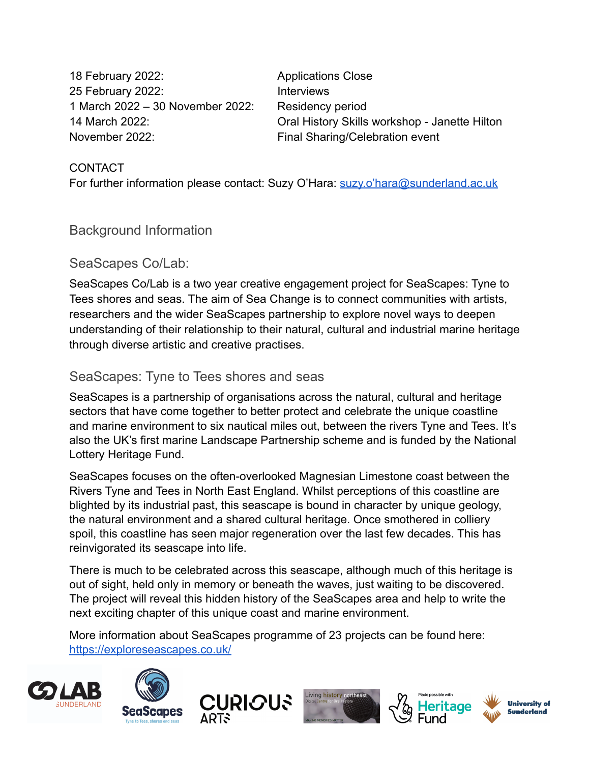18 February 2022: Applications Close 25 February 2022: Interviews 1 March 2022 – 30 November 2022: Residency period November 2022: Final Sharing/Celebration event

14 March 2022: Oral History Skills workshop - Janette Hilton

#### CONTACT

For further information please contact: Suzy O'Hara: [suzy.o'hara@sunderland.ac.uk](mailto:hara@sunderland.ac.uk)

Background Information

### SeaScapes Co/Lab:

SeaScapes Co/Lab is a two year creative engagement project for SeaScapes: Tyne to Tees shores and seas. The aim of Sea Change is to connect communities with artists, researchers and the wider SeaScapes partnership to explore novel ways to deepen understanding of their relationship to their natural, cultural and industrial marine heritage through diverse artistic and creative practises.

### SeaScapes: Tyne to Tees shores and seas

SeaScapes is a partnership of organisations across the natural, cultural and heritage sectors that have come together to better protect and celebrate the unique coastline and marine environment to six nautical miles out, between the rivers Tyne and Tees. It's also the UK's first marine Landscape Partnership scheme and is funded by the National Lottery Heritage Fund.

SeaScapes focuses on the often-overlooked Magnesian Limestone coast between the Rivers Tyne and Tees in North East England. Whilst perceptions of this coastline are blighted by its industrial past, this seascape is bound in character by unique geology, the natural environment and a shared cultural heritage. Once smothered in colliery spoil, this coastline has seen major regeneration over the last few decades. This has reinvigorated its seascape into life.

There is much to be celebrated across this seascape, although much of this heritage is out of sight, held only in memory or beneath the waves, just waiting to be discovered. The project will reveal this hidden history of the SeaScapes area and help to write the next exciting chapter of this unique coast and marine environment.

More information about SeaScapes programme of 23 projects can be found here: <https://exploreseascapes.co.uk/>